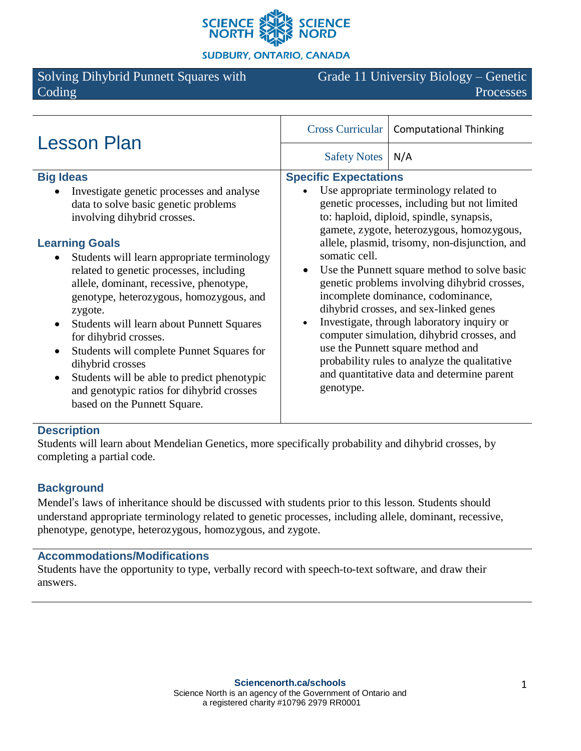

**SUDBURY, ONTARIO, CANADA** 

# Solving Dihybrid Punnett Squares with Coding

Grade 11 University Biology – Genetic Processes

| <b>Lesson Plan</b>                                                                                                                                                                                                                                                                                                                                                                                                                                                                                                                                                                                                                                                      | <b>Cross Curricular</b><br><b>Computational Thinking</b>                                                                                                                                                                                                                                                                                                                                                                                                                                                                                                                                                                                                                                                       |
|-------------------------------------------------------------------------------------------------------------------------------------------------------------------------------------------------------------------------------------------------------------------------------------------------------------------------------------------------------------------------------------------------------------------------------------------------------------------------------------------------------------------------------------------------------------------------------------------------------------------------------------------------------------------------|----------------------------------------------------------------------------------------------------------------------------------------------------------------------------------------------------------------------------------------------------------------------------------------------------------------------------------------------------------------------------------------------------------------------------------------------------------------------------------------------------------------------------------------------------------------------------------------------------------------------------------------------------------------------------------------------------------------|
|                                                                                                                                                                                                                                                                                                                                                                                                                                                                                                                                                                                                                                                                         | <b>Safety Notes</b><br>N/A                                                                                                                                                                                                                                                                                                                                                                                                                                                                                                                                                                                                                                                                                     |
| <b>Big Ideas</b><br>Investigate genetic processes and analyse<br>data to solve basic genetic problems<br>involving dihybrid crosses.<br><b>Learning Goals</b><br>Students will learn appropriate terminology<br>٠<br>related to genetic processes, including<br>allele, dominant, recessive, phenotype,<br>genotype, heterozygous, homozygous, and<br>zygote.<br>Students will learn about Punnett Squares<br>$\bullet$<br>for dihybrid crosses.<br>Students will complete Punnet Squares for<br>$\bullet$<br>dihybrid crosses<br>Students will be able to predict phenotypic<br>$\bullet$<br>and genotypic ratios for dihybrid crosses<br>based on the Punnett Square. | <b>Specific Expectations</b><br>Use appropriate terminology related to<br>genetic processes, including but not limited<br>to: haploid, diploid, spindle, synapsis,<br>gamete, zygote, heterozygous, homozygous,<br>allele, plasmid, trisomy, non-disjunction, and<br>somatic cell.<br>Use the Punnett square method to solve basic<br>genetic problems involving dihybrid crosses,<br>incomplete dominance, codominance,<br>dihybrid crosses, and sex-linked genes<br>Investigate, through laboratory inquiry or<br>computer simulation, dihybrid crosses, and<br>use the Punnett square method and<br>probability rules to analyze the qualitative<br>and quantitative data and determine parent<br>genotype. |

## **Description**

Students will learn about Mendelian Genetics, more specifically probability and dihybrid crosses, by completing a partial code.

# **Background**

Mendel's laws of inheritance should be discussed with students prior to this lesson. Students should understand appropriate terminology related to genetic processes, including allele, dominant, recessive, phenotype, genotype, heterozygous, homozygous, and zygote.

#### **Accommodations/Modifications**

Students have the opportunity to type, verbally record with speech-to-text software, and draw their answers.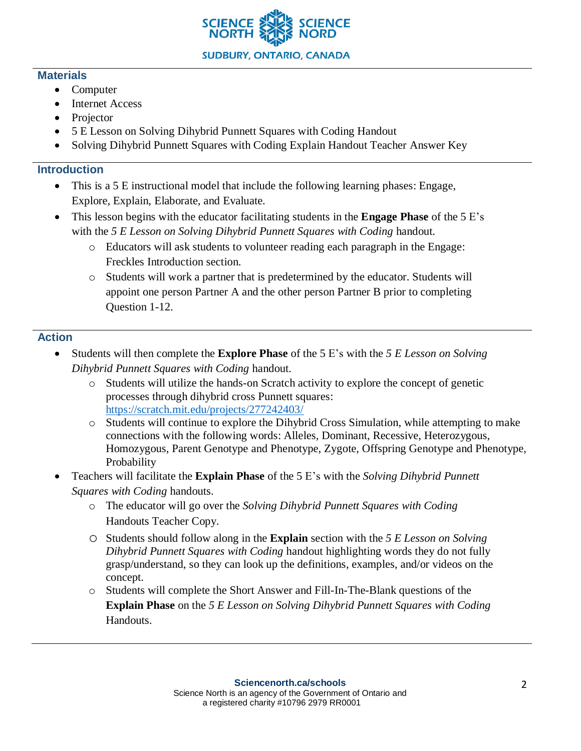

#### **Materials**

- Computer
- Internet Access
- Projector
- 5 E Lesson on Solving Dihybrid Punnett Squares with Coding Handout
- Solving Dihybrid Punnett Squares with Coding Explain Handout Teacher Answer Key

## **Introduction**

- This is a 5 E instructional model that include the following learning phases: Engage, Explore, Explain, Elaborate, and Evaluate.
- This lesson begins with the educator facilitating students in the **Engage Phase** of the 5 E's with the *5 E Lesson on Solving Dihybrid Punnett Squares with Coding* handout.
	- o Educators will ask students to volunteer reading each paragraph in the Engage: Freckles Introduction section.
	- o Students will work a partner that is predetermined by the educator. Students will appoint one person Partner A and the other person Partner B prior to completing Question 1-12.

# **Action**

- Students will then complete the **Explore Phase** of the 5 E's with the *5 E Lesson on Solving Dihybrid Punnett Squares with Coding* handout.
	- o Students will utilize the hands-on Scratch activity to explore the concept of genetic processes through dihybrid cross Punnett squares: <https://scratch.mit.edu/projects/277242403/>
	- o Students will continue to explore the Dihybrid Cross Simulation, while attempting to make connections with the following words: Alleles, Dominant, Recessive, Heterozygous, Homozygous, Parent Genotype and Phenotype, Zygote, Offspring Genotype and Phenotype, Probability
- Teachers will facilitate the **Explain Phase** of the 5 E's with the *Solving Dihybrid Punnett Squares with Coding* handouts.
	- o The educator will go over the *Solving Dihybrid Punnett Squares with Coding* Handouts Teacher Copy.
	- o Students should follow along in the **Explain** section with the *5 E Lesson on Solving Dihybrid Punnett Squares with Coding* handout highlighting words they do not fully grasp/understand, so they can look up the definitions, examples, and/or videos on the concept.
	- o Students will complete the Short Answer and Fill-In-The-Blank questions of the **Explain Phase** on the *5 E Lesson on Solving Dihybrid Punnett Squares with Coding* Handouts.